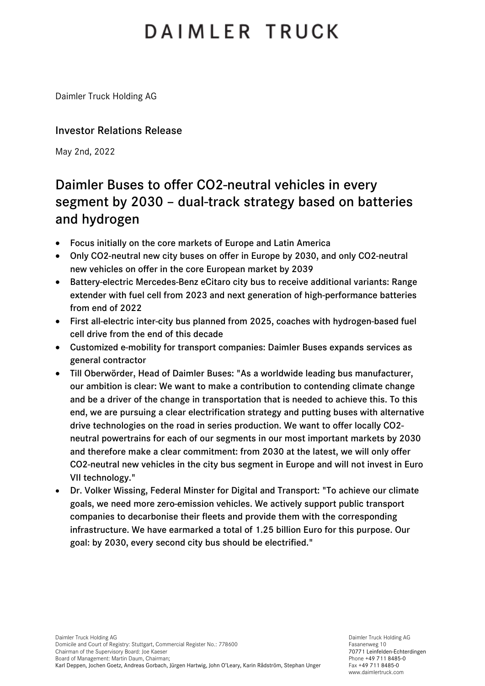# DAIMLER TRUCK

Daimler Truck Holding AG

### Investor Relations Release

May 2nd, 2022

## Daimler Buses to offer CO2-neutral vehicles in every segment by 2030 – dual-track strategy based on batteries and hydrogen

- Focus initially on the core markets of Europe and Latin America
- Only CO2-neutral new city buses on offer in Europe by 2030, and only CO2-neutral new vehicles on offer in the core European market by 2039
- Battery-electric Mercedes-Benz eCitaro city bus to receive additional variants: Range extender with fuel cell from 2023 and next generation of high-performance batteries from end of 2022
- First all-electric inter-city bus planned from 2025, coaches with hydrogen-based fuel cell drive from the end of this decade
- Customized e-mobility for transport companies: Daimler Buses expands services as general contractor
- Till Oberwörder, Head of Daimler Buses: "As a worldwide leading bus manufacturer, our ambition is clear: We want to make a contribution to contending climate change and be a driver of the change in transportation that is needed to achieve this. To this end, we are pursuing a clear electrification strategy and putting buses with alternative drive technologies on the road in series production. We want to offer locally CO2 neutral powertrains for each of our segments in our most important markets by 2030 and therefore make a clear commitment: from 2030 at the latest, we will only offer CO2-neutral new vehicles in the city bus segment in Europe and will not invest in Euro VII technology."
- Dr. Volker Wissing, Federal Minster for Digital and Transport: "To achieve our climate goals, we need more zero-emission vehicles. We actively support public transport companies to decarbonise their fleets and provide them with the corresponding infrastructure. We have earmarked a total of 1.25 billion Euro for this purpose. Our goal: by 2030, every second city bus should be electrified."

Daimler Truck Holding AG Fasanenweg 10 70771 Leinfelden-Echterdingen Phone +49 711 8485-0 Fax +49 711 8485-0 www.daimlertruck.com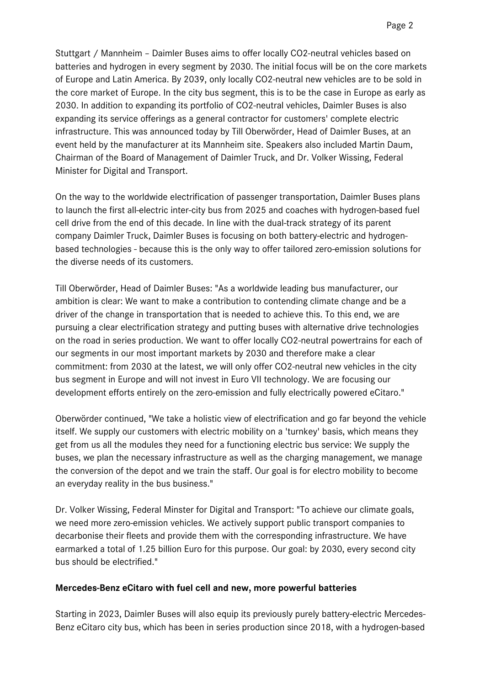Stuttgart / Mannheim – Daimler Buses aims to offer locally CO2-neutral vehicles based on batteries and hydrogen in every segment by 2030. The initial focus will be on the core markets of Europe and Latin America. By 2039, only locally CO2-neutral new vehicles are to be sold in the core market of Europe. In the city bus segment, this is to be the case in Europe as early as 2030. In addition to expanding its portfolio of CO2-neutral vehicles, Daimler Buses is also expanding its service offerings as a general contractor for customers' complete electric infrastructure. This was announced today by Till Oberwörder, Head of Daimler Buses, at an event held by the manufacturer at its Mannheim site. Speakers also included Martin Daum, Chairman of the Board of Management of Daimler Truck, and Dr. Volker Wissing, Federal Minister for Digital and Transport.

On the way to the worldwide electrification of passenger transportation, Daimler Buses plans to launch the first all-electric inter-city bus from 2025 and coaches with hydrogen-based fuel cell drive from the end of this decade. In line with the dual-track strategy of its parent company Daimler Truck, Daimler Buses is focusing on both battery-electric and hydrogenbased technologies - because this is the only way to offer tailored zero-emission solutions for the diverse needs of its customers.

Till Oberwörder, Head of Daimler Buses: "As a worldwide leading bus manufacturer, our ambition is clear: We want to make a contribution to contending climate change and be a driver of the change in transportation that is needed to achieve this. To this end, we are pursuing a clear electrification strategy and putting buses with alternative drive technologies on the road in series production. We want to offer locally CO2-neutral powertrains for each of our segments in our most important markets by 2030 and therefore make a clear commitment: from 2030 at the latest, we will only offer CO2-neutral new vehicles in the city bus segment in Europe and will not invest in Euro VII technology. We are focusing our development efforts entirely on the zero-emission and fully electrically powered eCitaro."

Oberwörder continued, "We take a holistic view of electrification and go far beyond the vehicle itself. We supply our customers with electric mobility on a 'turnkey' basis, which means they get from us all the modules they need for a functioning electric bus service: We supply the buses, we plan the necessary infrastructure as well as the charging management, we manage the conversion of the depot and we train the staff. Our goal is for electro mobility to become an everyday reality in the bus business."

Dr. Volker Wissing, Federal Minster for Digital and Transport: "To achieve our climate goals, we need more zero-emission vehicles. We actively support public transport companies to decarbonise their fleets and provide them with the corresponding infrastructure. We have earmarked a total of 1.25 billion Euro for this purpose. Our goal: by 2030, every second city bus should be electrified."

### **Mercedes-Benz eCitaro with fuel cell and new, more powerful batteries**

Starting in 2023, Daimler Buses will also equip its previously purely battery-electric Mercedes-Benz eCitaro city bus, which has been in series production since 2018, with a hydrogen-based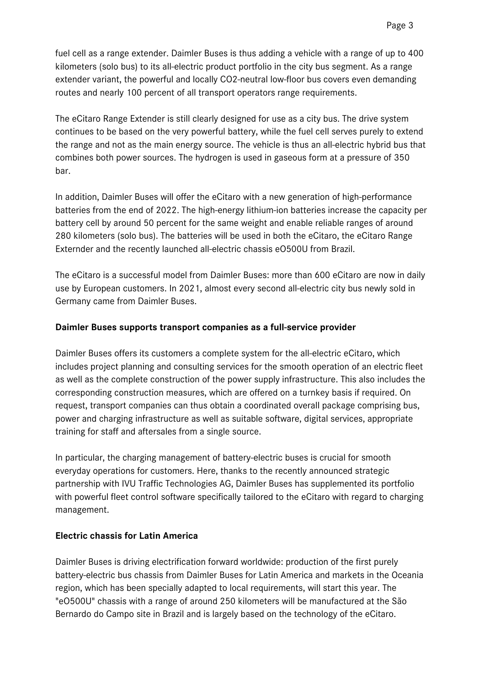fuel cell as a range extender. Daimler Buses is thus adding a vehicle with a range of up to 400 kilometers (solo bus) to its all-electric product portfolio in the city bus segment. As a range extender variant, the powerful and locally CO2-neutral low-floor bus covers even demanding routes and nearly 100 percent of all transport operators range requirements.

The eCitaro Range Extender is still clearly designed for use as a city bus. The drive system continues to be based on the very powerful battery, while the fuel cell serves purely to extend the range and not as the main energy source. The vehicle is thus an all-electric hybrid bus that combines both power sources. The hydrogen is used in gaseous form at a pressure of 350 bar.

In addition, Daimler Buses will offer the eCitaro with a new generation of high-performance batteries from the end of 2022. The high-energy lithium-ion batteries increase the capacity per battery cell by around 50 percent for the same weight and enable reliable ranges of around 280 kilometers (solo bus). The batteries will be used in both the eCitaro, the eCitaro Range Externder and the recently launched all-electric chassis eO500U from Brazil.

The eCitaro is a successful model from Daimler Buses: more than 600 eCitaro are now in daily use by European customers. In 2021, almost every second all-electric city bus newly sold in Germany came from Daimler Buses.

### **Daimler Buses supports transport companies as a full-service provider**

Daimler Buses offers its customers a complete system for the all-electric eCitaro, which includes project planning and consulting services for the smooth operation of an electric fleet as well as the complete construction of the power supply infrastructure. This also includes the corresponding construction measures, which are offered on a turnkey basis if required. On request, transport companies can thus obtain a coordinated overall package comprising bus, power and charging infrastructure as well as suitable software, digital services, appropriate training for staff and aftersales from a single source.

In particular, the charging management of battery-electric buses is crucial for smooth everyday operations for customers. Here, thanks to the recently announced strategic partnership with IVU Traffic Technologies AG, Daimler Buses has supplemented its portfolio with powerful fleet control software specifically tailored to the eCitaro with regard to charging management.

### **Electric chassis for Latin America**

Daimler Buses is driving electrification forward worldwide: production of the first purely battery-electric bus chassis from Daimler Buses for Latin America and markets in the Oceania region, which has been specially adapted to local requirements, will start this year. The "eO500U" chassis with a range of around 250 kilometers will be manufactured at the São Bernardo do Campo site in Brazil and is largely based on the technology of the eCitaro.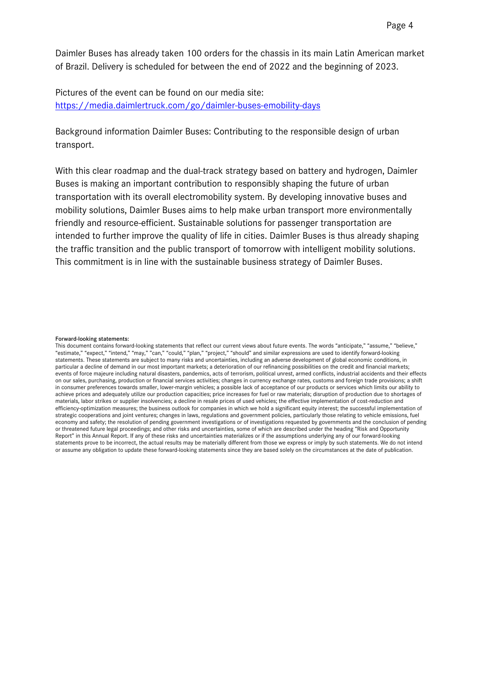Daimler Buses has already taken 100 orders for the chassis in its main Latin American market of Brazil. Delivery is scheduled for between the end of 2022 and the beginning of 2023.

Pictures of the event can be found on our media site: <https://media.daimlertruck.com/go/daimler-buses-emobility-days>

Background information Daimler Buses: Contributing to the responsible design of urban transport.

With this clear roadmap and the dual-track strategy based on battery and hydrogen, Daimler Buses is making an important contribution to responsibly shaping the future of urban transportation with its overall electromobility system. By developing innovative buses and mobility solutions, Daimler Buses aims to help make urban transport more environmentally friendly and resource-efficient. Sustainable solutions for passenger transportation are intended to further improve the quality of life in cities. Daimler Buses is thus already shaping the traffic transition and the public transport of tomorrow with intelligent mobility solutions. This commitment is in line with the sustainable business strategy of Daimler Buses.

#### Forward-looking statements:

This document contains forward-looking statements that reflect our current views about future events. The words "anticipate," "assume," "believe," "estimate," "expect," "intend," "may," "can," "could," "plan," "project," "should" and similar expressions are used to identify forward-looking statements. These statements are subject to many risks and uncertainties, including an adverse development of global economic conditions, in particular a decline of demand in our most important markets; a deterioration of our refinancing possibilities on the credit and financial markets; events of force majeure including natural disasters, pandemics, acts of terrorism, political unrest, armed conflicts, industrial accidents and their effects on our sales, purchasing, production or financial services activities; changes in currency exchange rates, customs and foreign trade provisions; a shift in consumer preferences towards smaller, lower-margin vehicles; a possible lack of acceptance of our products or services which limits our ability to achieve prices and adequately utilize our production capacities; price increases for fuel or raw materials; disruption of production due to shortages of materials, labor strikes or supplier insolvencies; a decline in resale prices of used vehicles; the effective implementation of cost-reduction and efficiency-optimization measures; the business outlook for companies in which we hold a significant equity interest; the successful implementation of strategic cooperations and joint ventures; changes in laws, regulations and government policies, particularly those relating to vehicle emissions, fuel economy and safety; the resolution of pending government investigations or of investigations requested by governments and the conclusion of pending or threatened future legal proceedings; and other risks and uncertainties, some of which are described under the heading "Risk and Opportunity Report" in this Annual Report. If any of these risks and uncertainties materializes or if the assumptions underlying any of our forward-looking statements prove to be incorrect, the actual results may be materially different from those we express or imply by such statements. We do not intend or assume any obligation to update these forward-looking statements since they are based solely on the circumstances at the date of publication.